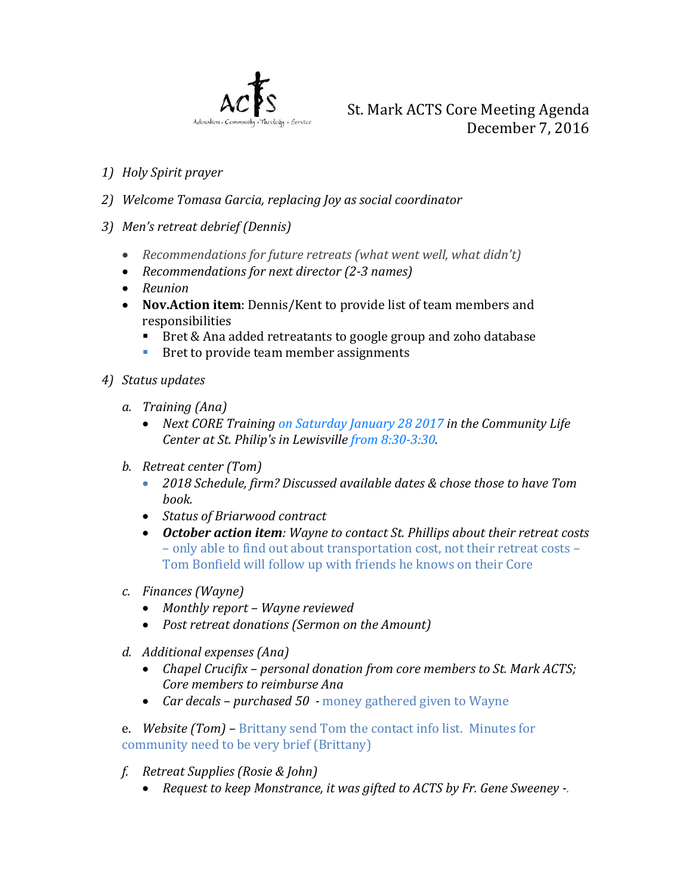

- *1) Holy Spirit prayer*
- *2) Welcome Tomasa Garcia, replacing Joy as social coordinator*
- *3) Men's retreat debrief (Dennis)*
	- *Recommendations for future retreats (what went well, what didn't)*
	- *Recommendations for next director (2-3 names)*
	- *Reunion*
	- **Nov.Action item**: Dennis/Kent to provide list of team members and responsibilities
		- Bret & Ana added retreatants to google group and zoho database<br>Ref to provide team member assignments
		- Bret to provide team member assignments
- *4) Status updates*
	- *a. Training (Ana)*
		- *Next CORE Training [on Saturday January 28 2017](http://x-apple-data-detectors/0) in the Community Life Center at St. Philip's in Lewisville [from 8:30-3:30.](http://x-apple-data-detectors/1)*
	- *b. Retreat center (Tom)*
		- *2018 Schedule, firm? Discussed available dates & chose those to have Tom book.*
		- *Status of Briarwood contract*
		- *October action item: Wayne to contact St. Phillips about their retreat costs* – only able to find out about transportation cost, not their retreat costs – Tom Bonfield will follow up with friends he knows on their Core
	- *c. Finances (Wayne)*
		- *Monthly report – Wayne reviewed*
		- *Post retreat donations (Sermon on the Amount)*
	- *d. Additional expenses (Ana)*
		- *Chapel Crucifix – personal donation from core members to St. Mark ACTS; Core members to reimburse Ana*
		- *Car decals – purchased 50 -* money gathered given to Wayne
	- e. *Website (Tom) –* Brittany send Tom the contact info list. Minutes for community need to be very brief (Brittany)
	- *f. Retreat Supplies (Rosie & John)*
		- *Request to keep Monstrance, it was gifted to ACTS by Fr. Gene Sweeney -*.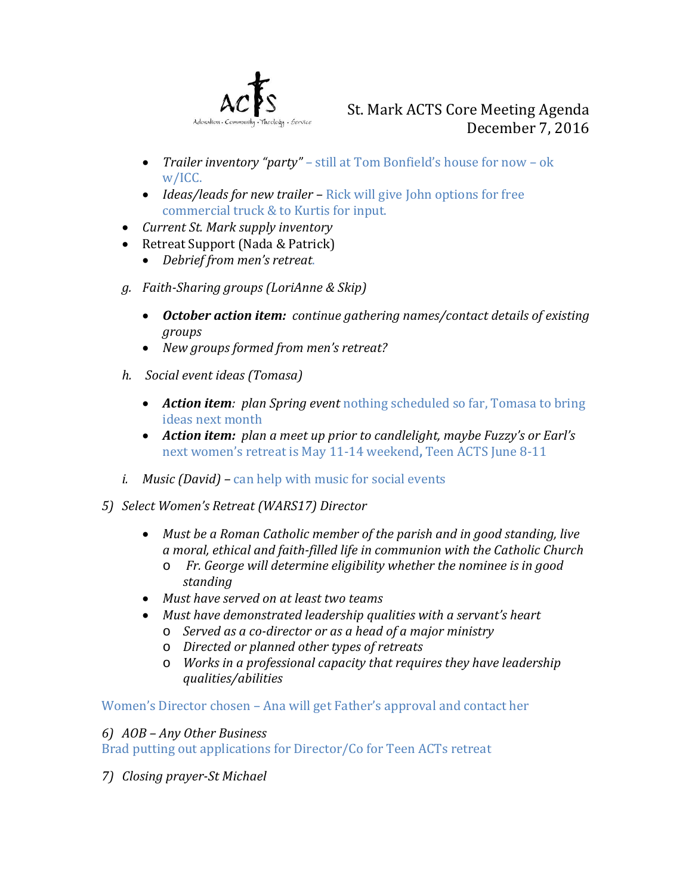

- *Trailer inventory "party" –* still at Tom Bonfield's house for now ok w/ICC.
- *Ideas/leads for new trailer* Rick will give John options for free commercial truck & to Kurtis for input.
- *Current St. Mark supply inventory*
- Retreat Support (Nada & Patrick)
	- *Debrief from men's retreat*.
- *g. Faith-Sharing groups (LoriAnne & Skip)*
	- *October action item: continue gathering names/contact details of existing groups*
	- *New groups formed from men's retreat?*
- *h. Social event ideas (Tomasa)*
	- *Action item: plan Spring event nothing scheduled so far, Tomasa to bring* ideas next month
	- *Action item: plan a meet up prior to candlelight, maybe Fuzzy's or Earl's*  next women's retreat is May 11-14 weekend**,** Teen ACTS June 8-11
- *i. Music (David) –* can help with music for social events
- *5) Select Women's Retreat (WARS17) Director*
	- *Must be a Roman Catholic member of the parish and in good standing, live a moral, ethical and faith-filled life in communion with the Catholic Church*
		- o *Fr. George will determine eligibility whether the nominee is in good standing*
	- *Must have served on at least two teams*
	- *Must have demonstrated leadership qualities with a servant's heart*
		- o *Served as a co-director or as a head of a major ministry*
		- o *Directed or planned other types of retreats*
		- o *Works in a professional capacity that requires they have leadership qualities/abilities*

Women's Director chosen – Ana will get Father's approval and contact her

*6) AOB – Any Other Business* 

Brad putting out applications for Director/Co for Teen ACTs retreat

*7) Closing prayer-St Michael*